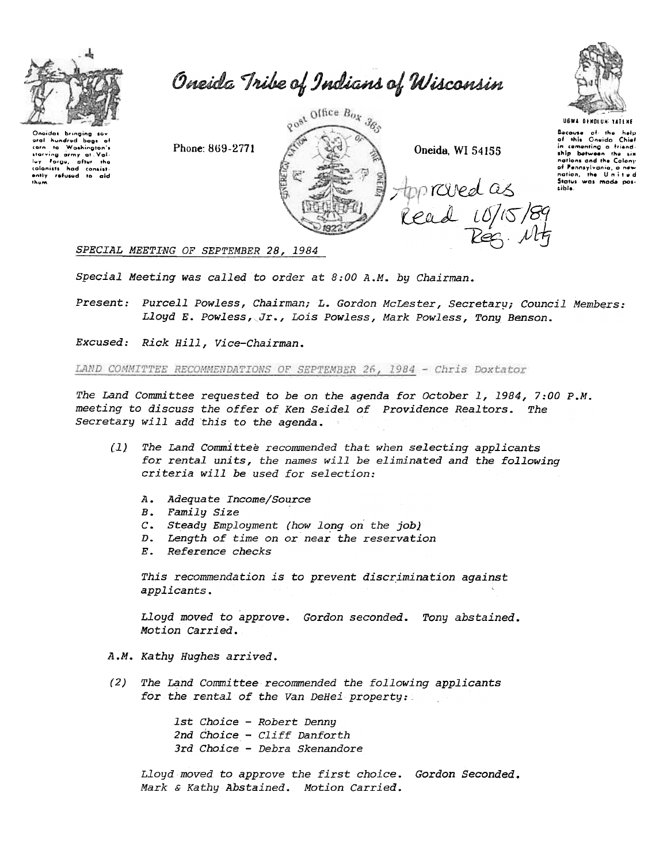

Oneida Tribe of Indians of Wisconsin

Qnaidas bringing savetal bags of<br>star in Washington's<br>starving army at Val-<br>Luy Forgu, ofter the<br>colonists had consist-<br>entity refused to aid<br>them.





UGWA DENOLUNI TATENE

Bacause of the help<br>of this Oneido Chief<br>in cementing a friend-<br>ship between the six nations and the Colony of Pennsylvania, a nev nation, the United<br>Status was mode pos-<br>sible.

SPECIAL MEETING OF SEPTEMBER 28, 1984

Special Meeting was called to order at  $8:00$  A.M. by Chairman.

Present: Purcell Powless, Chairman; L. Gordon McLester, Secretary; Council Members: Lloyd E. Powless, Jr., Lois Powless, Mark Powless, Tony Benson.

Excused: Rick Hill, Vice-Chairman.

LAND COMMITTEE RECOMMENDATIONS OF SEPTEMBER 26, 1984 - Chris Doxtator

The Land Committee requested to be on the agenda for October 1, 1984, 7:00 P.M. meeting to discuss the offer of Ken Seidel of Providence Realtors. The Secretary will add this to the agenda.

- (1) The Land committee recommended that when selecting applicants for rental units, the names will be eliminated and the following criteria will be used for selection:
	- A. Adequate Income/Source<br>B. Family Size
	-
	- C. Steady Employment (how long on the job
	- D. Length of time on or near the reservat
	- E. Reference check

This recommendation is to prevent discrimination against applicants.

Lloyd moved to approve. Gordon seconded. Tony abstain Motion Carried.

- A.M. Kathy Hughes arrived.
- (2) The Land Committee recommended the following applicants for the rental of the Van DeHei property:

1st Choice - Robert Denny 2nd Choice - Cliff Danforth 3rd Choice - Debra Skenandore

Lloyd moved to approve the first choice. Gordon Seconded Mark & Kathy Abstained. Motion Carried.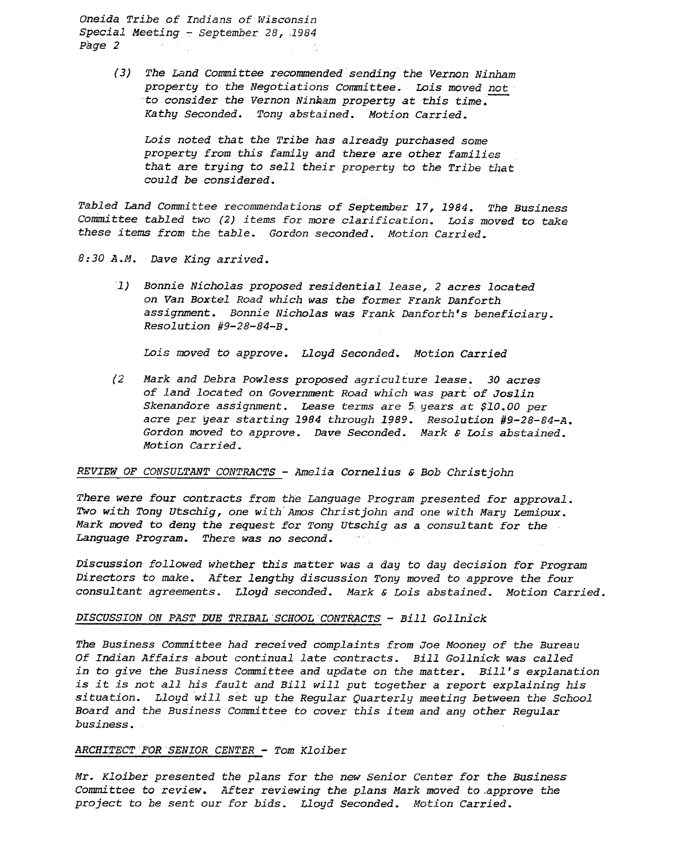Oneida Tribe of Indians of Wisconsin Special Meeting - September 28, 1984 Page 2

> (3) The Land Committee recommended sending the Vernon Ninham property to the Negotiations Committee. Lois moved not to consider the Vernon Ninkam property at this time. Kathy Seconded. Tony abstained. Motion Carried.

Lois noted that the Tribe has already purchased some property from this family and there are other families that are trying to sell their property to the Tribe that could be considered.

Tabled Land Committee recommendations of September 17, 1984. The Business Committee tabled two (2) items for more clarification. Lois moved to take these items from the table. Gordon seconded. Motion Carried.

8:30 A.M. Dave King arrived.

1) Bonnie Nicholas proposed residential lease, 2 acres located on Van Boxtel Road which was the former Frank Danforth assignment. Bonnie Nicholas was Frank Danforth's beneficiary.  $Resolution$  #9-28-84-B.

Lois moved to approve. Lloyd Seconded. Motion Carried

(2 Mark and Debra Powless proposed agriculture lease. 30 acres of land located on Government Road which was part of Joslin Skenandore assignment. Lease terms are  $5$  years at \$10.00 per acre per year starting 1984 through 1989. Resolution #9-28-84-A. Gordon moved to approve. Dave Seconded. Mark  $\epsilon$  Lois abstained. Motion Carried.

## REVIEW OF CONSULTANT CONTRACTS -Amelia Cornelius & Bob Christ john

There were four contracts from the Language Program presented for approval. Two with Tony Utschig, one with Amos Christjohn and one with Mary Lemioux. Mark moved to deny the request for Tony utschig as a consultant for the Language Program. There was no second.

Discussion followed whether this matter was a day to day decision for Program Directors to make. After lengthy discussion Tony moved to approve the four consultant agreements. Lloyd seconded. Mark & Lois abstained. Motion Carried.

## DISCUSSION ON PAST DUE TRIBAL SCHOOL CONTRACTS - Bill Gollnick

The Business Committee had received complaints from Joe Mooney of the Bureau Of Indian Affairs about continual late contracts. Bill Gollnick was called in to give the Business Committee and update on the matter. Bill's explanation is it is not all his fault and Bill will put together a report explaining his situation. Lloyd will set up the Regular Quarterly meeting between the School Board and the Business Committee to cover this item and any other Regular business.

# ARCHITECT FOR SENIOR CENTER - Tom Kloiber

Mr. Kloiber presented the plans for the new Senior Center for the Business Committee to review. After reviewing the plans Mark moved to.approve the project to be sent our for bids. Lloyd Seconded. Motion Carried.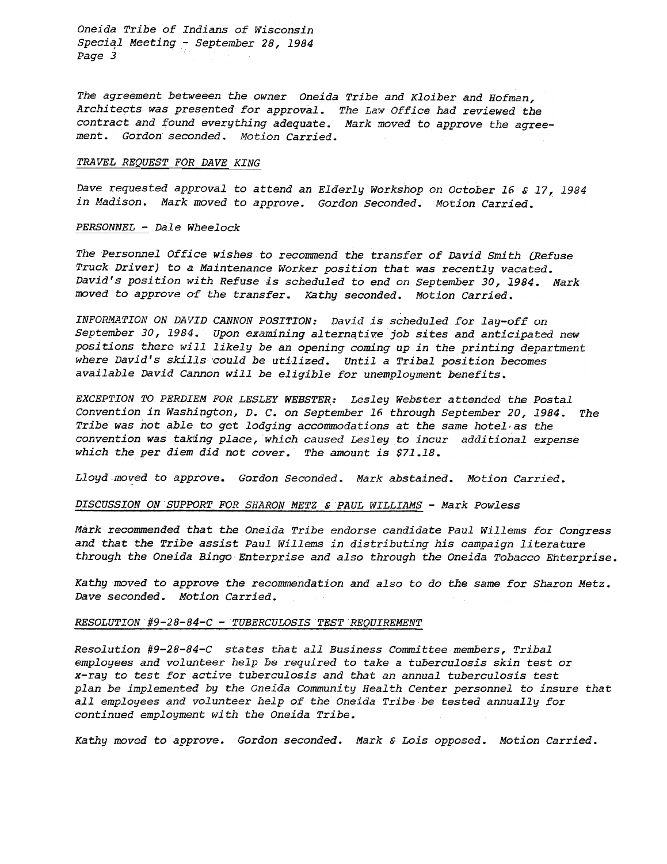Oneida Tribe of Indians of Wisconsin Special Meeting - September 28, 1984 Page 3

The agreement betweeen the owner Oneida Tribe and Kloiber and Hofman, Architects was presented for approval. The Law Office had reviewed the contract and found everything adequate. Mark moved to approve the agreement. Gordon seconded. Motion Carried.

### TRAVEL REQUEST FOR DAVE\_KING

Dave requested approval to attend an Elderly Workshop on October 16 & 17,1984 in Madison. Mark moved to approve. Gordon Seconded. Motion Carried.

#### PERSONNEL - Dale Wheelock

The Personnel Office wishes to recommend the transfer of David Smith (Refuse Truck Driver) to a Maintenance Worker position that was recently vacated. David's position with Refuse is scheduled to end on September 30, 1984. Mark moved to approve of the transfer. Kathy seconded. Motion Carried.

INFORMATION ON PAVID CANNON POSITION: David is scheduled for lay-off on September 30, 1984. Upon examining alternative job sites and anticipated new positions there will likely be an opening coming up in the printing department where David's skills could be utilized. Until a Tribal position becomes available David Cannon will be eligible for unemployment benefits.

EXCEPTION TO PERDIEM FOR LESLEY WEBSTER: Lesley Webster attended the Postal Convention in Washipgton, D. C. on September 16 through September 20,1984. Tribe was not able to get lodging accommodations at the same hotel as the convention was takang place, which caused Lesley to incur additional expense which the per diem did not cover. The amount is \$71.18.

Lloyd moved to approve. Gordon Seconded. Mark abstained. Motion Carried.

# DISCUSSION ON SUPPORT FOR SHARON METZ & PAUL WILLIAMS - Mark Powless

Mark recommended that the Oneida Tribe endorse candidate Paul Willems for Congress and that the Tribe assist Paul Willems in distributing his campaign literature through the Oneida Bingo Enterprise and also through the Oneida Tobacco Enterprise.

Kathy moved to approve the recommendation and also to do the same for Sharon Metz. Dave seconded. Motion Carried.

### RESOLUTION  $#9-28-84-C$  - TUBERCULOSIS TEST REQUIREMENT

Resolution #9-28-84-C states that all Business Committee members, Tribal employees and volunteer help be required to take a tuberculosis skin test or x-ray to test for active tuberculosis and that an annual tuberculosis test plan be implemented by the Oneida Community Health Center personnel to insure that all employees and volunteer help of the Oneida Tribe be tested annually for continued employment with the Oneida Tribe.

Kathy moved to approve. Gordon seconded. Mark & Lois opposed. Motion Carried.